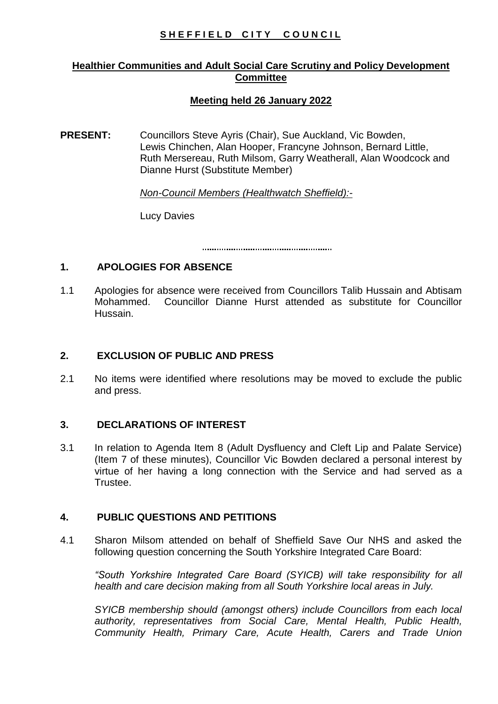# SHEFFIELD CITY COUNCIL

# **Healthier Communities and Adult Social Care Scrutiny and Policy Development Committee**

# **Meeting held 26 January 2022**

**PRESENT:** Councillors Steve Ayris (Chair), Sue Auckland, Vic Bowden, Lewis Chinchen, Alan Hooper, Francyne Johnson, Bernard Little, Ruth Mersereau, Ruth Milsom, Garry Weatherall, Alan Woodcock and Dianne Hurst (Substitute Member)

*Non-Council Members (Healthwatch Sheffield):-*

Lucy Davies

# **1. APOLOGIES FOR ABSENCE**

1.1 Apologies for absence were received from Councillors Talib Hussain and Abtisam Mohammed. Councillor Dianne Hurst attended as substitute for Councillor Hussain.

# **2. EXCLUSION OF PUBLIC AND PRESS**

2.1 No items were identified where resolutions may be moved to exclude the public and press.

# **3. DECLARATIONS OF INTEREST**

3.1 In relation to Agenda Item 8 (Adult Dysfluency and Cleft Lip and Palate Service) (Item 7 of these minutes), Councillor Vic Bowden declared a personal interest by virtue of her having a long connection with the Service and had served as a Trustee.

# **4. PUBLIC QUESTIONS AND PETITIONS**

4.1 Sharon Milsom attended on behalf of Sheffield Save Our NHS and asked the following question concerning the South Yorkshire Integrated Care Board:

*"South Yorkshire Integrated Care Board (SYICB) will take responsibility for all health and care decision making from all South Yorkshire local areas in July.*

*SYICB membership should (amongst others) include Councillors from each local authority, representatives from Social Care, Mental Health, Public Health, Community Health, Primary Care, Acute Health, Carers and Trade Union*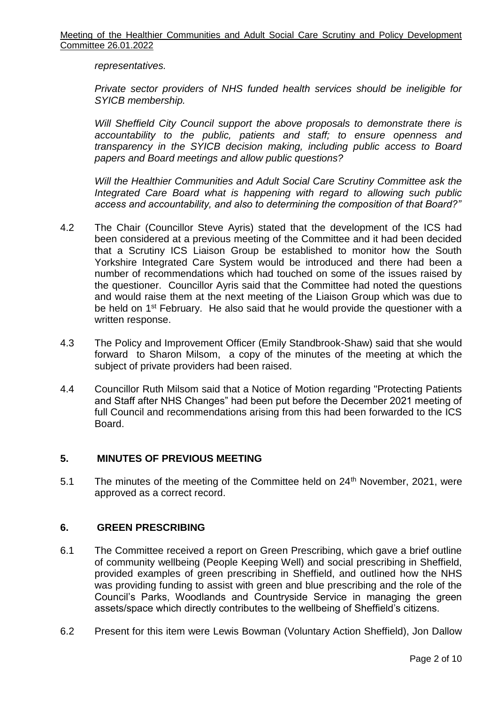*representatives.*

*Private sector providers of NHS funded health services should be ineligible for SYICB membership.*

*Will Sheffield City Council support the above proposals to demonstrate there is accountability to the public, patients and staff; to ensure openness and transparency in the SYICB decision making, including public access to Board papers and Board meetings and allow public questions?*

*Will the Healthier Communities and Adult Social Care Scrutiny Committee ask the Integrated Care Board what is happening with regard to allowing such public access and accountability, and also to determining the composition of that Board?"*

- 4.2 The Chair (Councillor Steve Ayris) stated that the development of the ICS had been considered at a previous meeting of the Committee and it had been decided that a Scrutiny ICS Liaison Group be established to monitor how the South Yorkshire Integrated Care System would be introduced and there had been a number of recommendations which had touched on some of the issues raised by the questioner. Councillor Ayris said that the Committee had noted the questions and would raise them at the next meeting of the Liaison Group which was due to be held on 1<sup>st</sup> February. He also said that he would provide the questioner with a written response.
- 4.3 The Policy and Improvement Officer (Emily Standbrook-Shaw) said that she would forward to Sharon Milsom, a copy of the minutes of the meeting at which the subject of private providers had been raised.
- 4.4 Councillor Ruth Milsom said that a Notice of Motion regarding "Protecting Patients and Staff after NHS Changes" had been put before the December 2021 meeting of full Council and recommendations arising from this had been forwarded to the ICS Board.

# **5. MINUTES OF PREVIOUS MEETING**

5.1 The minutes of the meeting of the Committee held on 24<sup>th</sup> November, 2021, were approved as a correct record.

#### **6. GREEN PRESCRIBING**

- 6.1 The Committee received a report on Green Prescribing, which gave a brief outline of community wellbeing (People Keeping Well) and social prescribing in Sheffield, provided examples of green prescribing in Sheffield, and outlined how the NHS was providing funding to assist with green and blue prescribing and the role of the Council's Parks, Woodlands and Countryside Service in managing the green assets/space which directly contributes to the wellbeing of Sheffield's citizens.
- 6.2 Present for this item were Lewis Bowman (Voluntary Action Sheffield), Jon Dallow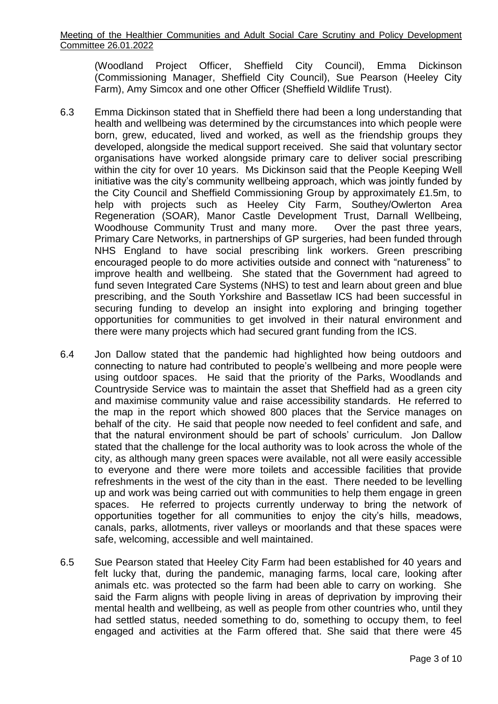(Woodland Project Officer, Sheffield City Council), Emma Dickinson (Commissioning Manager, Sheffield City Council), Sue Pearson (Heeley City Farm), Amy Simcox and one other Officer (Sheffield Wildlife Trust).

- 6.3 Emma Dickinson stated that in Sheffield there had been a long understanding that health and wellbeing was determined by the circumstances into which people were born, grew, educated, lived and worked, as well as the friendship groups they developed, alongside the medical support received. She said that voluntary sector organisations have worked alongside primary care to deliver social prescribing within the city for over 10 years. Ms Dickinson said that the People Keeping Well initiative was the city's community wellbeing approach, which was jointly funded by the City Council and Sheffield Commissioning Group by approximately £1.5m, to help with projects such as Heeley City Farm, Southey/Owlerton Area Regeneration (SOAR), Manor Castle Development Trust, Darnall Wellbeing, Woodhouse Community Trust and many more. Over the past three years, Primary Care Networks, in partnerships of GP surgeries, had been funded through NHS England to have social prescribing link workers. Green prescribing encouraged people to do more activities outside and connect with "natureness" to improve health and wellbeing. She stated that the Government had agreed to fund seven Integrated Care Systems (NHS) to test and learn about green and blue prescribing, and the South Yorkshire and Bassetlaw ICS had been successful in securing funding to develop an insight into exploring and bringing together opportunities for communities to get involved in their natural environment and there were many projects which had secured grant funding from the ICS.
- 6.4 Jon Dallow stated that the pandemic had highlighted how being outdoors and connecting to nature had contributed to people's wellbeing and more people were using outdoor spaces. He said that the priority of the Parks, Woodlands and Countryside Service was to maintain the asset that Sheffield had as a green city and maximise community value and raise accessibility standards. He referred to the map in the report which showed 800 places that the Service manages on behalf of the city. He said that people now needed to feel confident and safe, and that the natural environment should be part of schools' curriculum. Jon Dallow stated that the challenge for the local authority was to look across the whole of the city, as although many green spaces were available, not all were easily accessible to everyone and there were more toilets and accessible facilities that provide refreshments in the west of the city than in the east. There needed to be levelling up and work was being carried out with communities to help them engage in green spaces. He referred to projects currently underway to bring the network of opportunities together for all communities to enjoy the city's hills, meadows, canals, parks, allotments, river valleys or moorlands and that these spaces were safe, welcoming, accessible and well maintained.
- 6.5 Sue Pearson stated that Heeley City Farm had been established for 40 years and felt lucky that, during the pandemic, managing farms, local care, looking after animals etc. was protected so the farm had been able to carry on working. She said the Farm aligns with people living in areas of deprivation by improving their mental health and wellbeing, as well as people from other countries who, until they had settled status, needed something to do, something to occupy them, to feel engaged and activities at the Farm offered that. She said that there were 45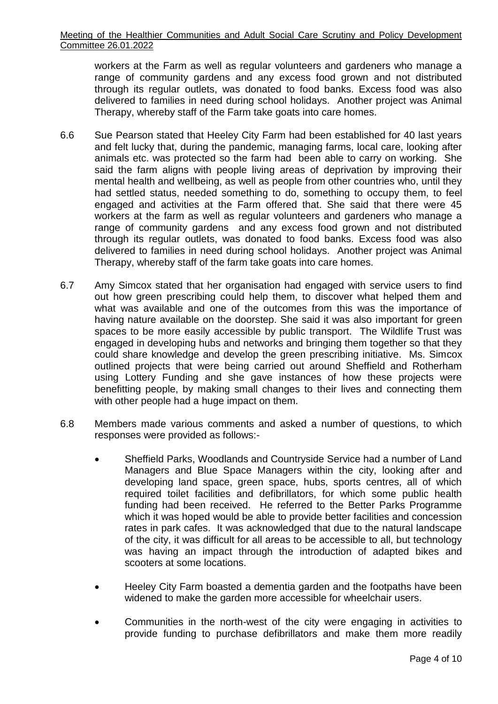workers at the Farm as well as regular volunteers and gardeners who manage a range of community gardens and any excess food grown and not distributed through its regular outlets, was donated to food banks. Excess food was also delivered to families in need during school holidays. Another project was Animal Therapy, whereby staff of the Farm take goats into care homes.

- 6.6 Sue Pearson stated that Heeley City Farm had been established for 40 last years and felt lucky that, during the pandemic, managing farms, local care, looking after animals etc. was protected so the farm had been able to carry on working. She said the farm aligns with people living areas of deprivation by improving their mental health and wellbeing, as well as people from other countries who, until they had settled status, needed something to do, something to occupy them, to feel engaged and activities at the Farm offered that. She said that there were 45 workers at the farm as well as regular volunteers and gardeners who manage a range of community gardens and any excess food grown and not distributed through its regular outlets, was donated to food banks. Excess food was also delivered to families in need during school holidays. Another project was Animal Therapy, whereby staff of the farm take goats into care homes.
- 6.7 Amy Simcox stated that her organisation had engaged with service users to find out how green prescribing could help them, to discover what helped them and what was available and one of the outcomes from this was the importance of having nature available on the doorstep. She said it was also important for green spaces to be more easily accessible by public transport. The Wildlife Trust was engaged in developing hubs and networks and bringing them together so that they could share knowledge and develop the green prescribing initiative. Ms. Simcox outlined projects that were being carried out around Sheffield and Rotherham using Lottery Funding and she gave instances of how these projects were benefitting people, by making small changes to their lives and connecting them with other people had a huge impact on them.
- 6.8 Members made various comments and asked a number of questions, to which responses were provided as follows:-
	- Sheffield Parks, Woodlands and Countryside Service had a number of Land Managers and Blue Space Managers within the city, looking after and developing land space, green space, hubs, sports centres, all of which required toilet facilities and defibrillators, for which some public health funding had been received. He referred to the Better Parks Programme which it was hoped would be able to provide better facilities and concession rates in park cafes. It was acknowledged that due to the natural landscape of the city, it was difficult for all areas to be accessible to all, but technology was having an impact through the introduction of adapted bikes and scooters at some locations.
	- Heeley City Farm boasted a dementia garden and the footpaths have been widened to make the garden more accessible for wheelchair users.
	- Communities in the north-west of the city were engaging in activities to provide funding to purchase defibrillators and make them more readily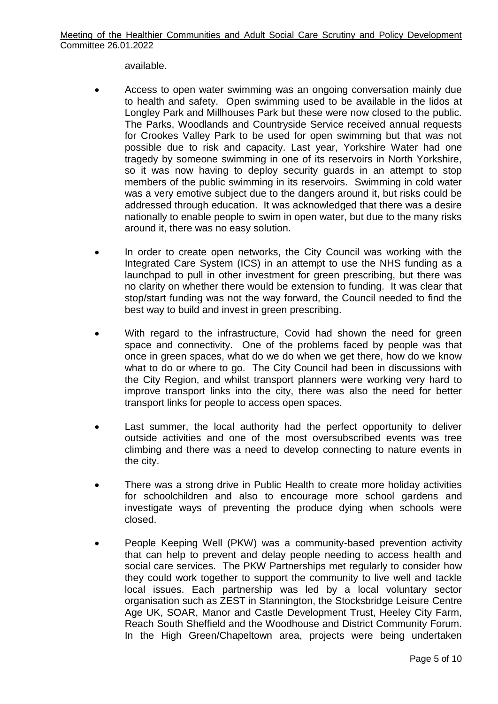available.

- Access to open water swimming was an ongoing conversation mainly due to health and safety. Open swimming used to be available in the lidos at Longley Park and Millhouses Park but these were now closed to the public. The Parks, Woodlands and Countryside Service received annual requests for Crookes Valley Park to be used for open swimming but that was not possible due to risk and capacity. Last year, Yorkshire Water had one tragedy by someone swimming in one of its reservoirs in North Yorkshire, so it was now having to deploy security guards in an attempt to stop members of the public swimming in its reservoirs. Swimming in cold water was a very emotive subject due to the dangers around it, but risks could be addressed through education. It was acknowledged that there was a desire nationally to enable people to swim in open water, but due to the many risks around it, there was no easy solution.
- In order to create open networks, the City Council was working with the Integrated Care System (ICS) in an attempt to use the NHS funding as a launchpad to pull in other investment for green prescribing, but there was no clarity on whether there would be extension to funding. It was clear that stop/start funding was not the way forward, the Council needed to find the best way to build and invest in green prescribing.
- With regard to the infrastructure, Covid had shown the need for green space and connectivity. One of the problems faced by people was that once in green spaces, what do we do when we get there, how do we know what to do or where to go. The City Council had been in discussions with the City Region, and whilst transport planners were working very hard to improve transport links into the city, there was also the need for better transport links for people to access open spaces.
- Last summer, the local authority had the perfect opportunity to deliver outside activities and one of the most oversubscribed events was tree climbing and there was a need to develop connecting to nature events in the city.
- There was a strong drive in Public Health to create more holiday activities for schoolchildren and also to encourage more school gardens and investigate ways of preventing the produce dying when schools were closed.
- People Keeping Well (PKW) was a community-based prevention activity that can help to prevent and delay people needing to access health and social care services. The PKW Partnerships met regularly to consider how they could work together to support the community to live well and tackle local issues. Each partnership was led by a local voluntary sector organisation such as ZEST in Stannington, the Stocksbridge Leisure Centre Age UK, SOAR, Manor and Castle Development Trust, Heeley City Farm, Reach South Sheffield and the Woodhouse and District Community Forum. In the High Green/Chapeltown area, projects were being undertaken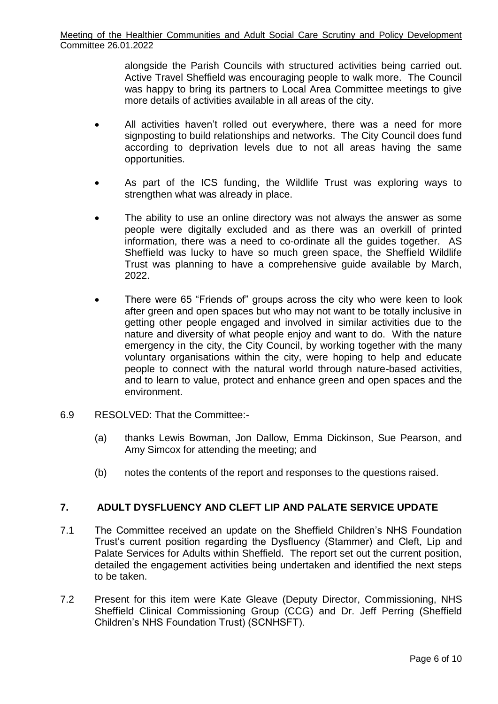alongside the Parish Councils with structured activities being carried out. Active Travel Sheffield was encouraging people to walk more. The Council was happy to bring its partners to Local Area Committee meetings to give more details of activities available in all areas of the city.

- All activities haven't rolled out everywhere, there was a need for more signposting to build relationships and networks. The City Council does fund according to deprivation levels due to not all areas having the same opportunities.
- As part of the ICS funding, the Wildlife Trust was exploring ways to strengthen what was already in place.
- The ability to use an online directory was not always the answer as some people were digitally excluded and as there was an overkill of printed information, there was a need to co-ordinate all the guides together. AS Sheffield was lucky to have so much green space, the Sheffield Wildlife Trust was planning to have a comprehensive guide available by March, 2022.
- There were 65 "Friends of" groups across the city who were keen to look after green and open spaces but who may not want to be totally inclusive in getting other people engaged and involved in similar activities due to the nature and diversity of what people enjoy and want to do. With the nature emergency in the city, the City Council, by working together with the many voluntary organisations within the city, were hoping to help and educate people to connect with the natural world through nature-based activities, and to learn to value, protect and enhance green and open spaces and the environment.
- 6.9 RESOLVED: That the Committee:-
	- (a) thanks Lewis Bowman, Jon Dallow, Emma Dickinson, Sue Pearson, and Amy Simcox for attending the meeting; and
	- (b) notes the contents of the report and responses to the questions raised.

# **7. ADULT DYSFLUENCY AND CLEFT LIP AND PALATE SERVICE UPDATE**

- 7.1 The Committee received an update on the Sheffield Children's NHS Foundation Trust's current position regarding the Dysfluency (Stammer) and Cleft, Lip and Palate Services for Adults within Sheffield. The report set out the current position, detailed the engagement activities being undertaken and identified the next steps to be taken.
- 7.2 Present for this item were Kate Gleave (Deputy Director, Commissioning, NHS Sheffield Clinical Commissioning Group (CCG) and Dr. Jeff Perring (Sheffield Children's NHS Foundation Trust) (SCNHSFT).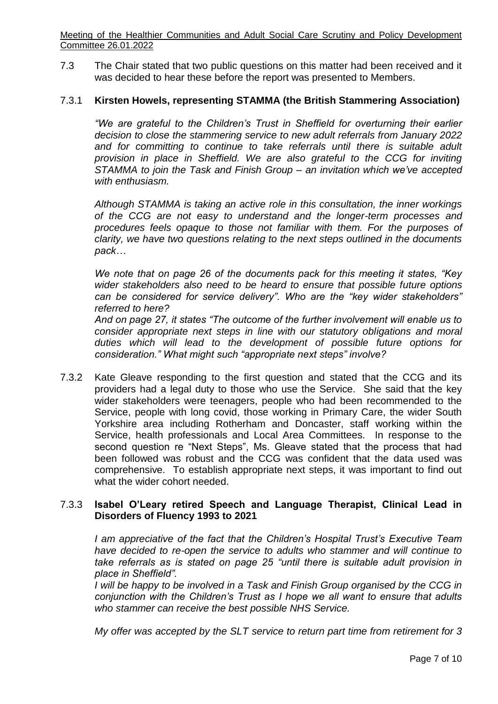Meeting of the Healthier Communities and Adult Social Care Scrutiny and Policy Development Committee 26.01.2022

7.3 The Chair stated that two public questions on this matter had been received and it was decided to hear these before the report was presented to Members.

#### 7.3.1 **Kirsten Howels, representing STAMMA (the British Stammering Association)**

*"We are grateful to the Children's Trust in Sheffield for overturning their earlier decision to close the stammering service to new adult referrals from January 2022*  and for committing to continue to take referrals until there is suitable adult *provision in place in Sheffield. We are also grateful to the CCG for inviting STAMMA to join the Task and Finish Group – an invitation which we've accepted with enthusiasm.*

*Although STAMMA is taking an active role in this consultation, the inner workings of the CCG are not easy to understand and the longer-term processes and procedures feels opaque to those not familiar with them. For the purposes of clarity, we have two questions relating to the next steps outlined in the documents pack…*

*We note that on page 26 of the documents pack for this meeting it states, "Key wider stakeholders also need to be heard to ensure that possible future options can be considered for service delivery". Who are the "key wider stakeholders" referred to here?*

*And on page 27, it states "The outcome of the further involvement will enable us to consider appropriate next steps in line with our statutory obligations and moral duties which will lead to the development of possible future options for consideration." What might such "appropriate next steps" involve?*

7.3.2 Kate Gleave responding to the first question and stated that the CCG and its providers had a legal duty to those who use the Service. She said that the key wider stakeholders were teenagers, people who had been recommended to the Service, people with long covid, those working in Primary Care, the wider South Yorkshire area including Rotherham and Doncaster, staff working within the Service, health professionals and Local Area Committees. In response to the second question re "Next Steps", Ms. Gleave stated that the process that had been followed was robust and the CCG was confident that the data used was comprehensive. To establish appropriate next steps, it was important to find out what the wider cohort needed.

# 7.3.3 **Isabel O'Leary retired Speech and Language Therapist, Clinical Lead in Disorders of Fluency 1993 to 2021**

*I am appreciative of the fact that the Children's Hospital Trust's Executive Team have decided to re-open the service to adults who stammer and will continue to take referrals as is stated on page 25 "until there is suitable adult provision in place in Sheffield".* 

*I will be happy to be involved in a Task and Finish Group organised by the CCG in conjunction with the Children's Trust as I hope we all want to ensure that adults who stammer can receive the best possible NHS Service.*

*My offer was accepted by the SLT service to return part time from retirement for 3*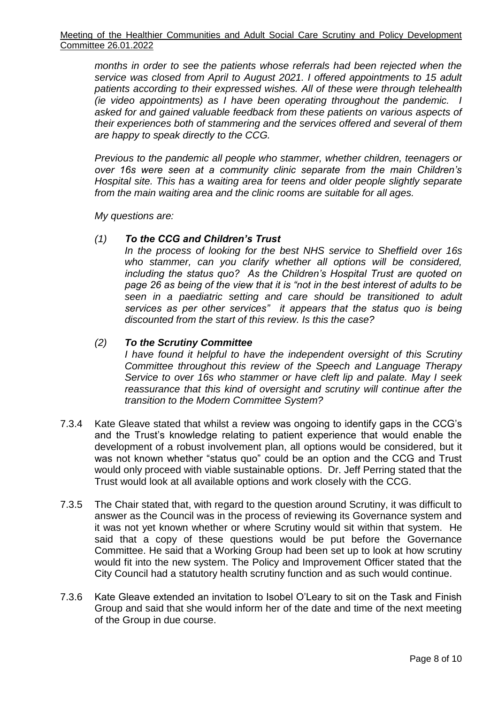*months in order to see the patients whose referrals had been rejected when the service was closed from April to August 2021. I offered appointments to 15 adult patients according to their expressed wishes. All of these were through telehealth (ie video appointments) as I have been operating throughout the pandemic. I asked for and gained valuable feedback from these patients on various aspects of their experiences both of stammering and the services offered and several of them are happy to speak directly to the CCG.*

*Previous to the pandemic all people who stammer, whether children, teenagers or over 16s were seen at a community clinic separate from the main Children's Hospital site. This has a waiting area for teens and older people slightly separate from the main waiting area and the clinic rooms are suitable for all ages.*

*My questions are:*

# *(1) To the CCG and Children's Trust*

*In the process of looking for the best NHS service to Sheffield over 16s who stammer, can you clarify whether all options will be considered, including the status quo? As the Children's Hospital Trust are quoted on page 26 as being of the view that it is "not in the best interest of adults to be seen in a paediatric setting and care should be transitioned to adult services as per other services" it appears that the status quo is being discounted from the start of this review. Is this the case?*

# *(2) To the Scrutiny Committee*

*I have found it helpful to have the independent oversight of this Scrutiny Committee throughout this review of the Speech and Language Therapy Service to over 16s who stammer or have cleft lip and palate. May I seek reassurance that this kind of oversight and scrutiny will continue after the transition to the Modern Committee System?*

- 7.3.4 Kate Gleave stated that whilst a review was ongoing to identify gaps in the CCG's and the Trust's knowledge relating to patient experience that would enable the development of a robust involvement plan, all options would be considered, but it was not known whether "status quo" could be an option and the CCG and Trust would only proceed with viable sustainable options. Dr. Jeff Perring stated that the Trust would look at all available options and work closely with the CCG.
- 7.3.5 The Chair stated that, with regard to the question around Scrutiny, it was difficult to answer as the Council was in the process of reviewing its Governance system and it was not yet known whether or where Scrutiny would sit within that system. He said that a copy of these questions would be put before the Governance Committee. He said that a Working Group had been set up to look at how scrutiny would fit into the new system. The Policy and Improvement Officer stated that the City Council had a statutory health scrutiny function and as such would continue.
- 7.3.6 Kate Gleave extended an invitation to Isobel O'Leary to sit on the Task and Finish Group and said that she would inform her of the date and time of the next meeting of the Group in due course.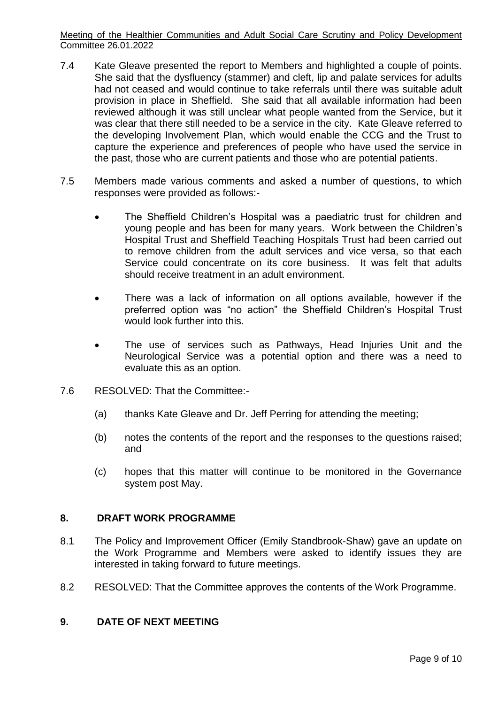Meeting of the Healthier Communities and Adult Social Care Scrutiny and Policy Development Committee 26.01.2022

- 7.4 Kate Gleave presented the report to Members and highlighted a couple of points. She said that the dysfluency (stammer) and cleft, lip and palate services for adults had not ceased and would continue to take referrals until there was suitable adult provision in place in Sheffield. She said that all available information had been reviewed although it was still unclear what people wanted from the Service, but it was clear that there still needed to be a service in the city. Kate Gleave referred to the developing Involvement Plan, which would enable the CCG and the Trust to capture the experience and preferences of people who have used the service in the past, those who are current patients and those who are potential patients.
- 7.5 Members made various comments and asked a number of questions, to which responses were provided as follows:-
	- The Sheffield Children's Hospital was a paediatric trust for children and young people and has been for many years. Work between the Children's Hospital Trust and Sheffield Teaching Hospitals Trust had been carried out to remove children from the adult services and vice versa, so that each Service could concentrate on its core business. It was felt that adults should receive treatment in an adult environment.
	- There was a lack of information on all options available, however if the preferred option was "no action" the Sheffield Children's Hospital Trust would look further into this.
	- The use of services such as Pathways, Head Injuries Unit and the Neurological Service was a potential option and there was a need to evaluate this as an option.
- 7.6 RESOLVED: That the Committee:-
	- (a) thanks Kate Gleave and Dr. Jeff Perring for attending the meeting;
	- (b) notes the contents of the report and the responses to the questions raised; and
	- (c) hopes that this matter will continue to be monitored in the Governance system post May.

#### **8. DRAFT WORK PROGRAMME**

- 8.1 The Policy and Improvement Officer (Emily Standbrook-Shaw) gave an update on the Work Programme and Members were asked to identify issues they are interested in taking forward to future meetings.
- 8.2 RESOLVED: That the Committee approves the contents of the Work Programme.

#### **9. DATE OF NEXT MEETING**